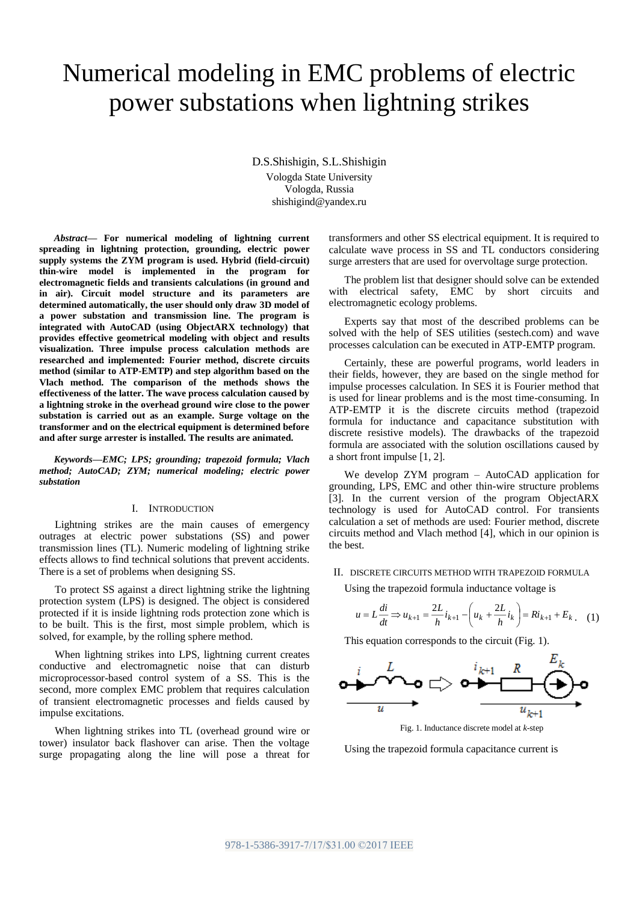# Numerical modeling in EMC problems of electric power substations when lightning strikes

D.S.Shishigin, S.L.Shishigin Vologda State University

Vologda, Russia shishigind@yandex.ru

*Abstract***— For numerical modeling of lightning current spreading in lightning protection, grounding, electric power supply systems the ZYM program is used. Hybrid (field-circuit) thin-wire model is implemented in the program for electromagnetic fields and transients calculations (in ground and in air). Circuit model structure and its parameters are determined automatically, the user should only draw 3D model of a power substation and transmission line. The program is integrated with AutoCAD (using ObjectARX technology) that provides effective geometrical modeling with object and results visualization. Three impulse process calculation methods are researched and implemented: Fourier method, discrete circuits method (similar to ATP-EMTP) and step algorithm based on the Vlach method. The comparison of the methods shows the effectiveness of the latter. The wave process calculation caused by a lightning stroke in the overhead ground wire close to the power substation is carried out as an example. Surge voltage on the transformer and on the electrical equipment is determined before and after surge arrester is installed. The results are animated.**

*Keywords—EMC; LPS; grounding; trapezoid formula; Vlach method; AutoCAD; ZYM; numerical modeling; electric power substation*

### I. INTRODUCTION

Lightning strikes are the main causes of emergency outrages at electric power substations (SS) and power transmission lines (TL). Numeric modeling of lightning strike effects allows to find technical solutions that prevent accidents. There is a set of problems when designing SS.

To protect SS against a direct lightning strike the lightning protection system (LPS) is designed. The object is considered protected if it is inside lightning rods protection zone which is to be built. This is the first, most simple problem, which is solved, for example, by the rolling sphere method.

When lightning strikes into LPS, lightning current creates conductive and electromagnetic noise that can disturb microprocessor-based control system of a SS. This is the second, more complex EMC problem that requires calculation of transient electromagnetic processes and fields caused by impulse excitations.

When lightning strikes into TL (overhead ground wire or tower) insulator back flashover can arise. Then the voltage surge propagating along the line will pose a threat for transformers and other SS electrical equipment. It is required to calculate wave process in SS and TL conductors considering surge arresters that are used for overvoltage surge protection.

The problem list that designer should solve can be extended with electrical safety, EMC by short circuits and electromagnetic ecology problems.

Experts say that most of the described problems can be solved with the help of SES utilities (sestech.com) and wave processes calculation can be executed in ATP-EMTP program.

Certainly, these are powerful programs, world leaders in their fields, however, they are based on the single method for impulse processes calculation. In SES it is Fourier method that is used for linear problems and is the most time-consuming. In ATP-EMTP it is the discrete circuits method (trapezoid formula for inductance and capacitance substitution with discrete resistive models). The drawbacks of the trapezoid formula are associated with the solution oscillations caused by a short front impulse [1, 2].

We develop ZYM program – AutoCAD application for grounding, LPS, EMC and other thin-wire structure problems [3]. In the current version of the program ObjectARX technology is used for AutoCAD control. For transients calculation a set of methods are used: Fourier method, discrete circuits method and Vlach method [4], which in our opinion is the best.

## II. DISCRETE CIRCUITS METHOD WITH TRAPEZOID FORMULA

Using the trapezoid formula inductance voltage is

$$
u = L\frac{di}{dt} \Rightarrow u_{k+1} = \frac{2L}{h}i_{k+1} - \left(u_k + \frac{2L}{h}i_k\right) = Ri_{k+1} + E_k \tag{1}
$$

This equation corresponds to the circuit (Fig. 1).



Fig. 1. Inductance discrete model at *k*-step

Using the trapezoid formula capacitance current is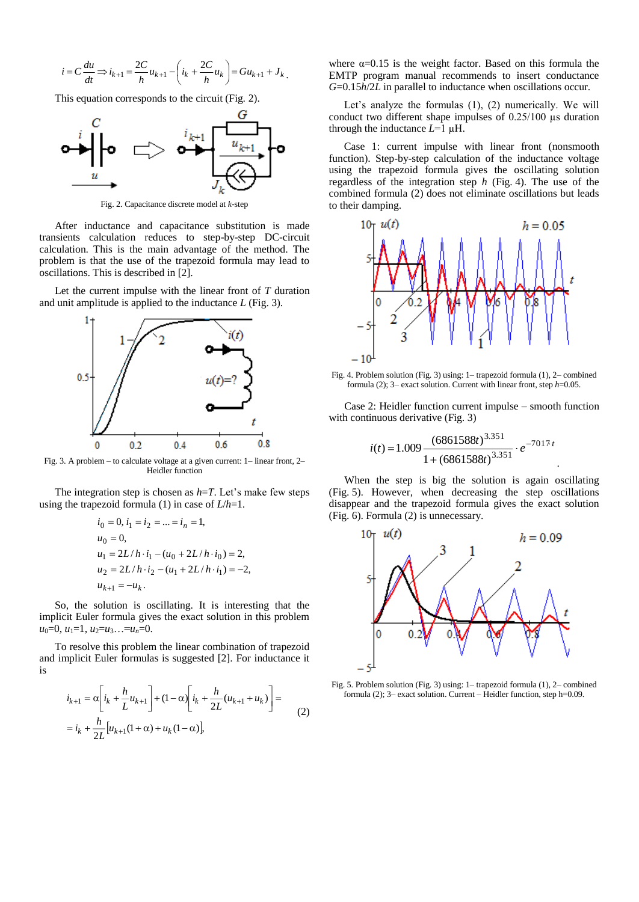$$
i = C \frac{du}{dt} \Longrightarrow i_{k+1} = \frac{2C}{h} u_{k+1} - \left( i_k + \frac{2C}{h} u_k \right) = Gu_{k+1} + J_k.
$$

This equation corresponds to the circuit (Fig. 2).



Fig. 2. Capacitance discrete model at *k*-step

After inductance and capacitance substitution is made transients calculation reduces to step-by-step DC-circuit calculation. This is the main advantage of the method. The problem is that the use of the trapezoid formula may lead to oscillations. This is described in [2].

Let the current impulse with the linear front of *T* duration and unit amplitude is applied to the inductance *L* (Fig. 3).



Fig. 3. A problem – to calculate voltage at a given current: 1– linear front, 2– Heidler function

The integration step is chosen as *h*=*T*. Let's make few steps using the trapezoid formula (1) in case of *L*/*h*=1.

$$
i_0 = 0, i_1 = i_2 = \dots = i_n = 1,
$$
  
\n
$$
u_0 = 0,
$$
  
\n
$$
u_1 = 2L/h \cdot i_1 - (u_0 + 2L/h \cdot i_0) = 2,
$$
  
\n
$$
u_2 = 2L/h \cdot i_2 - (u_1 + 2L/h \cdot i_1) = -2,
$$
  
\n
$$
u_{k+1} = -u_k.
$$

So, the solution is oscillating. It is interesting that the implicit Euler formula gives the exact solution in this problem  $u_0=0, u_1=1, u_2=u_3...=u_n=0.$ 

To resolve this problem the linear combination of trapezoid and implicit Euler formulas is suggested [2]. For inductance it is

$$
\begin{aligned} i_{k+1} &= \alpha \bigg[ i_k + \frac{h}{L} u_{k+1} \bigg] + (1 - \alpha) \bigg[ i_k + \frac{h}{2L} (u_{k+1} + u_k) \bigg] = \\ &= i_k + \frac{h}{2L} \big[ u_{k+1} (1 + \alpha) + u_k (1 - \alpha) \big], \end{aligned} \tag{2}
$$

where  $\alpha$ =0.15 is the weight factor. Based on this formula the EMTP program manual recommends to insert conductance *G*=0.15*h*/2*L* in parallel to inductance when oscillations occur.

Let's analyze the formulas (1), (2) numerically. We will conduct two different shape impulses of 0.25/100 µs duration through the inductance *L*=1 µH.

Case 1: current impulse with linear front (nonsmooth function). Step-by-step calculation of the inductance voltage using the trapezoid formula gives the oscillating solution regardless of the integration step *h* (Fig. 4). The use of the combined formula (2) does not eliminate oscillations but leads to their damping.



Fig. 4. Problem solution (Fig. 3) using: 1– trapezoid formula (1), 2– combined formula (2); 3– exact solution. Current with linear front, step *h*=0.05.

Case 2: Heidler function current impulse – smooth function with continuous derivative (Fig. 3)

$$
i(t) = 1.009 \frac{(6861588t)^{3.351}}{1 + (6861588t)^{3.351}} \cdot e^{-7017t}
$$

.

When the step is big the solution is again oscillating (Fig. 5). However, when decreasing the step oscillations disappear and the trapezoid formula gives the exact solution (Fig. 6). Formula (2) is unnecessary.



Fig. 5. Problem solution (Fig. 3) using: 1– trapezoid formula (1), 2– combined formula (2); 3– exact solution. Current – Heidler function, step h=0.09.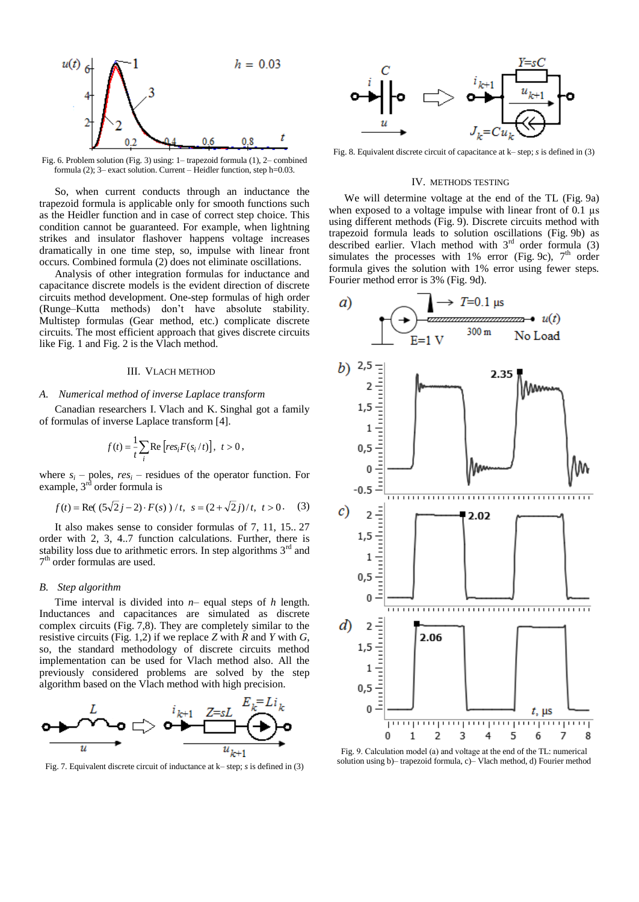

Fig. 6. Problem solution (Fig. 3) using: 1– trapezoid formula (1), 2– combined formula (2); 3– exact solution. Current – Heidler function, step h=0.03.

So, when current conducts through an inductance the trapezoid formula is applicable only for smooth functions such as the Heidler function and in case of correct step choice. This condition cannot be guaranteed. For example, when lightning strikes and insulator flashover happens voltage increases dramatically in one time step, so, impulse with linear front occurs. Combined formula (2) does not eliminate oscillations.

Analysis of other integration formulas for inductance and capacitance discrete models is the evident direction of discrete circuits method development. One-step formulas of high order (Runge–Kutta methods) don't have absolute stability. Multistep formulas (Gear method, etc.) complicate discrete circuits. The most efficient approach that gives discrete circuits like Fig. 1 and Fig. 2 is the Vlach method.

## III. VLACH METHOD

#### *A. Numerical method of inverse Laplace transform*

Canadian researchers I. Vlach and K. Singhal got a family of formulas of inverse Laplace transform [4].

$$
f(t) = \frac{1}{t} \sum_{i} \text{Re}\left[ res_i F(s_i/t) \right], t > 0,
$$

where  $s_i$  – poles,  $res_i$  – residues of the operator function. For example, 3<sup>rd</sup> order formula is

$$
f(t) = \text{Re}((5\sqrt{2}j - 2) \cdot F(s)) / t, \ \ s = (2 + \sqrt{2}j) / t, \ \ t > 0. \tag{3}
$$

It also makes sense to consider formulas of 7, 11, 15.. 27 order with 2, 3, 4..7 function calculations. Further, there is stability loss due to arithmetic errors. In step algorithms  $3<sup>rd</sup>$  and 7 th order formulas are used.

## *B. Step algorithm*

Time interval is divided into *n*– equal steps of *h* length. Inductances and capacitances are simulated as discrete complex circuits (Fig. 7,8). They are completely similar to the resistive circuits (Fig. 1,2) if we replace *Z* with *R* and *Y* with *G*, so, the standard methodology of discrete circuits method implementation can be used for Vlach method also. All the previously considered problems are solved by the step algorithm based on the Vlach method with high precision.



Fig. 7. Equivalent discrete circuit of inductance at k– step; *s* is defined in (3)



Fig. 8. Equivalent discrete circuit of capacitance at k– step; *s* is defined in (3)

## IV. METHODS TESTING

We will determine voltage at the end of the TL (Fig. 9a) when exposed to a voltage impulse with linear front of 0.1  $\mu$ s using different methods (Fig. 9). Discrete circuits method with trapezoid formula leads to solution oscillations (Fig. 9b) as described earlier. Vlach method with  $3<sup>rd</sup>$  order formula (3) simulates the processes with 1% error (Fig. 9c),  $7<sup>th</sup>$  order formula gives the solution with 1% error using fewer steps. Fourier method error is 3% (Fig. 9d).



Fig. 9. Calculation model (а) and voltage at the end of the TL: numerical solution using b)– trapezoid formula, c)– Vlach method, d) Fourier method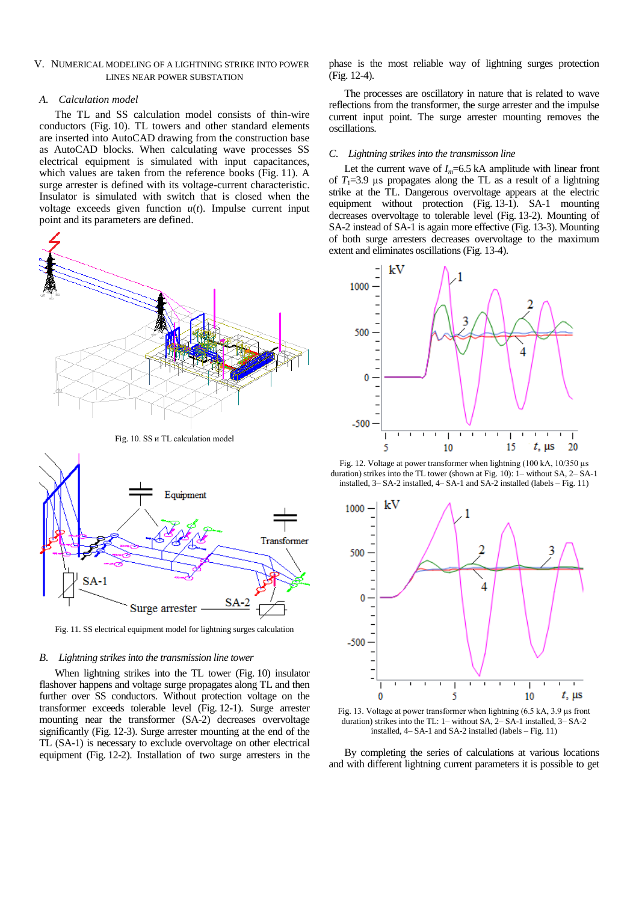# V. NUMERICAL MODELING OF A LIGHTNING STRIKE INTO POWER LINES NEAR POWER SUBSTATION

### *A. Calculation model*

The TL and SS calculation model consists of thin-wire conductors (Fig. 10). TL towers and other standard elements are inserted into AutoCAD drawing from the construction base as AutoCAD blocks. When calculating wave processes SS electrical equipment is simulated with input capacitances, which values are taken from the reference books (Fig. 11). A surge arrester is defined with its voltage-current characteristic. Insulator is simulated with switch that is closed when the voltage exceeds given function  $u(t)$ . Impulse current input point and its parameters are defined.



Fig. 10. SS и TL calculation model



Fig. 11. SS electrical equipment model for lightning surges calculation

#### *B. Lightning strikes into the transmission line tower*

When lightning strikes into the TL tower (Fig. 10) insulator flashover happens and voltage surge propagates along TL and then further over SS conductors. Without protection voltage on the transformer exceeds tolerable level (Fig. 12-1). Surge arrester mounting near the transformer (SA-2) decreases overvoltage significantly (Fig. 12-3). Surge arrester mounting at the end of the TL (SA-1) is necessary to exclude overvoltage on other electrical equipment (Fig. 12-2). Installation of two surge arresters in the phase is the most reliable way of lightning surges protection (Fig. 12-4).

The processes are oscillatory in nature that is related to wave reflections from the transformer, the surge arrester and the impulse current input point. The surge arrester mounting removes the oscillations.

#### *C. Lightning strikes into the transmisson line*

Let the current wave of  $I_m$ =6.5 kA amplitude with linear front of  $T_1=3.9$  µs propagates along the TL as a result of a lightning strike at the TL. Dangerous overvoltage appears at the electric equipment without protection (Fig. 13-1). SA-1 mounting decreases overvoltage to tolerable level (Fig. 13-2). Mounting of SA-2 instead of SA-1 is again more effective (Fig. 13-3). Mounting of both surge arresters decreases overvoltage to the maximum extent and eliminates oscillations (Fig. 13-4).



Fig. 12. Voltage at power transformer when lightning (100 kA, 10/350 µs duration) strikes into the TL tower (shown at Fig. 10): 1– without SA, 2– SA-1 installed, 3– SA-2 installed, 4– SA-1 and SA-2 installed (labels – Fig. 11)



Fig. 13. Voltage at power transformer when lightning (6.5 kA, 3.9 µs front duration) strikes into the TL: 1– without SA, 2– SA-1 installed, 3– SA-2 installed, 4– SA-1 and SA-2 installed (labels – Fig. 11)

By completing the series of calculations at various locations and with different lightning current parameters it is possible to get